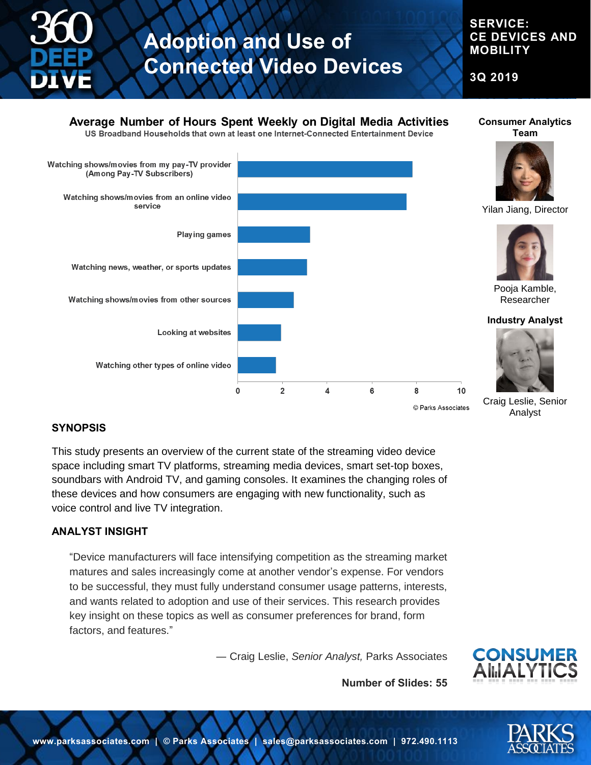

## **SERVICE: CE DEVICES AND MOBILITY**

**3Q 2019**



## **SYNOPSIS**

This study presents an overview of the current state of the streaming video device space including smart TV platforms, streaming media devices, smart set-top boxes, soundbars with Android TV, and gaming consoles. It examines the changing roles of these devices and how consumers are engaging with new functionality, such as voice control and live TV integration.

## **ANALYST INSIGHT**

"Device manufacturers will face intensifying competition as the streaming market matures and sales increasingly come at another vendor's expense. For vendors to be successful, they must fully understand consumer usage patterns, interests, and wants related to adoption and use of their services. This research provides key insight on these topics as well as consumer preferences for brand, form factors, and features."

― Craig Leslie, *Senior Analyst,* Parks Associates



**Number of Slides: 55**

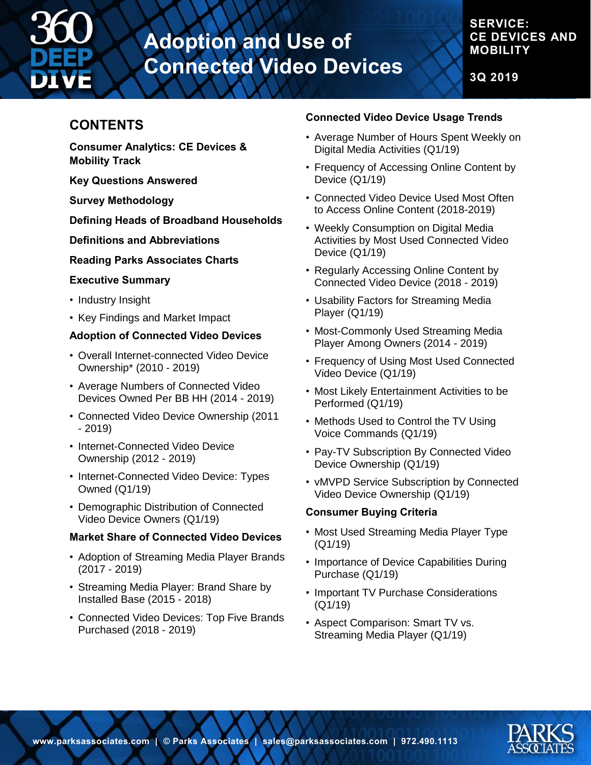

## **SERVICE: CE DEVICES AND MOBILITY**

**3Q 2019**

## **CONTENTS**

**Consumer Analytics: CE Devices & Mobility Track** 

**Key Questions Answered** 

**Survey Methodology** 

**Defining Heads of Broadband Households** 

**Definitions and Abbreviations** 

**Reading Parks Associates Charts** 

#### **Executive Summary**

- Industry Insight
- Key Findings and Market Impact

#### **Adoption of Connected Video Devices**

- Overall Internet-connected Video Device Ownership\* (2010 - 2019)
- Average Numbers of Connected Video Devices Owned Per BB HH (2014 - 2019)
- Connected Video Device Ownership (2011 - 2019)
- Internet-Connected Video Device Ownership (2012 - 2019)
- Internet-Connected Video Device: Types Owned (Q1/19)
- Demographic Distribution of Connected Video Device Owners (Q1/19)

## **Market Share of Connected Video Devices**

- Adoption of Streaming Media Player Brands (2017 - 2019)
- Streaming Media Player: Brand Share by Installed Base (2015 - 2018)
- Connected Video Devices: Top Five Brands Purchased (2018 - 2019)

#### **Connected Video Device Usage Trends**

- Average Number of Hours Spent Weekly on Digital Media Activities (Q1/19)
- Frequency of Accessing Online Content by Device (Q1/19)
- Connected Video Device Used Most Often to Access Online Content (2018-2019)
- Weekly Consumption on Digital Media Activities by Most Used Connected Video Device (Q1/19)
- Regularly Accessing Online Content by Connected Video Device (2018 - 2019)
- Usability Factors for Streaming Media Player (Q1/19)
- Most-Commonly Used Streaming Media Player Among Owners (2014 - 2019)
- Frequency of Using Most Used Connected Video Device (Q1/19)
- Most Likely Entertainment Activities to be Performed (Q1/19)
- Methods Used to Control the TV Using Voice Commands (Q1/19)
- Pay-TV Subscription By Connected Video Device Ownership (Q1/19)
- vMVPD Service Subscription by Connected Video Device Ownership (Q1/19)

#### **Consumer Buying Criteria**

- Most Used Streaming Media Player Type (Q1/19)
- Importance of Device Capabilities During Purchase (Q1/19)
- Important TV Purchase Considerations (Q1/19)
- Aspect Comparison: Smart TV vs. Streaming Media Player (Q1/19)

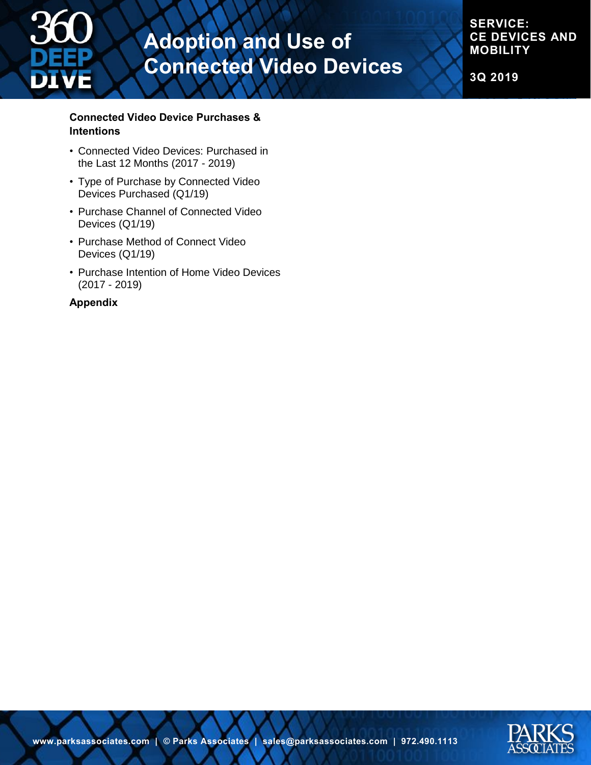

**SERVICE: CE DEVICES AND MOBILITY**

**3Q 2019**

#### **Connected Video Device Purchases & Intentions**

- Connected Video Devices: Purchased in the Last 12 Months (2017 - 2019)
- Type of Purchase by Connected Video Devices Purchased (Q1/19)
- Purchase Channel of Connected Video Devices (Q1/19)
- Purchase Method of Connect Video Devices (Q1/19)
- Purchase Intention of Home Video Devices (2017 - 2019)

#### **Appendix**